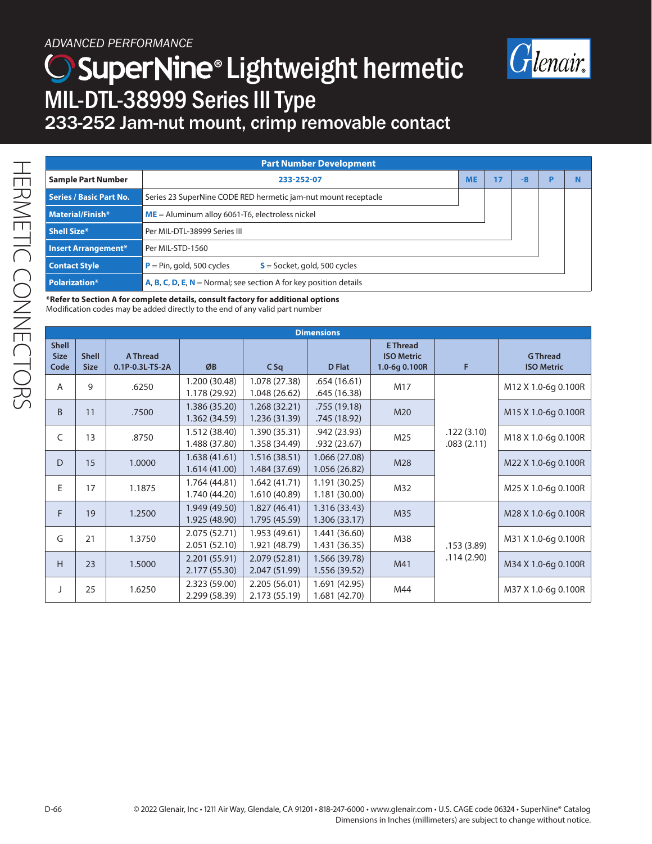### *ADVANCED PERFORMANCE*

# ) SuperNine® Lightweight hermetic MIL-DTL-38999 Series III Type



### 233-252 Jam-nut mount, crimp removable contact

| <b>Part Number Development</b> |                                                                          |           |    |      |   |  |  |
|--------------------------------|--------------------------------------------------------------------------|-----------|----|------|---|--|--|
| <b>Sample Part Number</b>      | 233-252-07                                                               | <b>ME</b> | 17 | $-8$ | D |  |  |
| <b>Series / Basic Part No.</b> | Series 23 SuperNine CODE RED hermetic jam-nut mount receptacle           |           |    |      |   |  |  |
| Material/Finish*               | $ME =$ Aluminum alloy 6061-T6, electroless nickel                        |           |    |      |   |  |  |
| Shell Size*                    | Per MIL-DTL-38999 Series III                                             |           |    |      |   |  |  |
| <b>Insert Arrangement*</b>     | Per MIL-STD-1560                                                         |           |    |      |   |  |  |
| <b>Contact Style</b>           | $P = Pin, gold, 500 cycles$<br>$S =$ Socket, gold, 500 cycles            |           |    |      |   |  |  |
| <b>Polarization*</b>           | <b>A, B, C, D, E, N</b> = Normal; see section A for key position details |           |    |      |   |  |  |

**\*Refer to Section A for complete details, consult factory for additional options**  Modification codes may be added directly to the end of any valid part number

| <b>Dimensions</b>                   |                             |                             |                                |                                |                                |                                                       |                          |                                      |
|-------------------------------------|-----------------------------|-----------------------------|--------------------------------|--------------------------------|--------------------------------|-------------------------------------------------------|--------------------------|--------------------------------------|
| <b>Shell</b><br><b>Size</b><br>Code | <b>Shell</b><br><b>Size</b> | A Thread<br>0.1P-0.3L-TS-2A | ØB                             | $C$ Sq                         | <b>D</b> Flat                  | <b>E</b> Thread<br><b>ISO Metric</b><br>1.0-6g 0.100R | F                        | <b>G</b> Thread<br><b>ISO Metric</b> |
| A                                   | 9                           | .6250                       | 1.200 (30.48)<br>1.178 (29.92) | 1.078 (27.38)<br>1.048 (26.62) | .654 (16.61)<br>.645 (16.38)   | M17                                                   |                          | M12 X 1.0-6g 0.100R                  |
| <sub>B</sub>                        | 11                          | .7500                       | 1.386 (35.20)<br>1.362 (34.59) | 1.268 (32.21)<br>1.236 (31.39) | .755 (19.18)<br>.745 (18.92)   | M20                                                   |                          | M <sub>15</sub> X 1.0-6g 0.100R      |
| C                                   | 13                          | .8750                       | 1.512 (38.40)<br>1.488 (37.80) | 1.390 (35.31)<br>1.358 (34.49) | .942 (23.93)<br>.932(23.67)    | M25                                                   | .122(3.10)<br>.083(2.11) | M18 X 1.0-6g 0.100R                  |
| D                                   | 15                          | 1.0000                      | 1.638(41.61)<br>1.614(41.00)   | 1.516 (38.51)<br>1.484 (37.69) | 1.066 (27.08)<br>1.056 (26.82) | M28                                                   |                          | M22 X 1.0-6q 0.100R                  |
| E                                   | 17                          | 1.1875                      | 1.764 (44.81)<br>1.740 (44.20) | 1.642(41.71)<br>1.610 (40.89)  | 1.191(30.25)<br>1.181(30.00)   | M32                                                   |                          | M25 X 1.0-6g 0.100R                  |
| F                                   | 19                          | 1.2500                      | 1.949 (49.50)<br>1.925 (48.90) | 1.827 (46.41)<br>1.795 (45.59) | 1.316(33.43)<br>1.306(33.17)   | M35                                                   |                          | M28 X 1.0-6g 0.100R                  |
| G                                   | 21                          | 1.3750                      | 2.075 (52.71)<br>2.051 (52.10) | 1.953 (49.61)<br>1.921 (48.79) | 1.441 (36.60)<br>1.431 (36.35) | M38                                                   | .153(3.89)               | M31 X 1.0-6g 0.100R                  |
| H                                   | 23                          | 1.5000                      | 2.201(55.91)<br>2.177 (55.30)  | 2.079 (52.81)<br>2.047 (51.99) | 1.566 (39.78)<br>1.556 (39.52) | M41                                                   | .114(2.90)               | M34 X 1.0-6g 0.100R                  |
|                                     | 25                          | 1.6250                      | 2.323 (59.00)<br>2.299 (58.39) | 2.205 (56.01)<br>2.173 (55.19) | 1.691 (42.95)<br>1.681 (42.70) | M44                                                   |                          | M37 X 1.0-6g 0.100R                  |